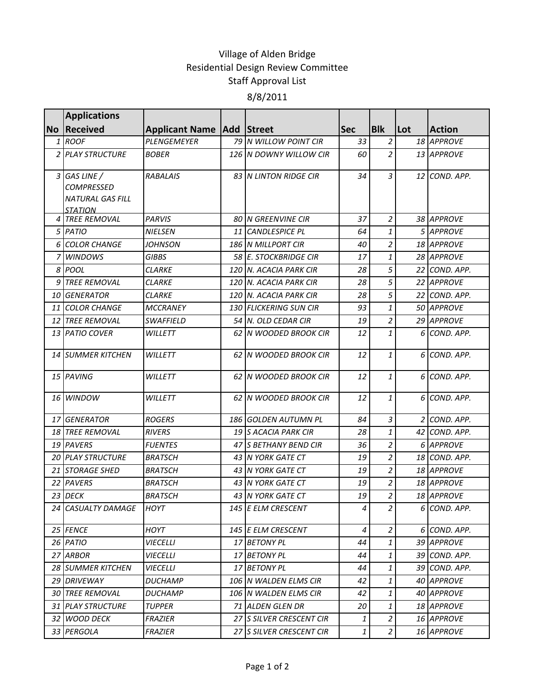## Village of Alden Bridge Residential Design Review Committee Staff Approval List 8/8/2011

|      | <b>Applications</b>                                                            |                                      |    |                               |            |                |     |                   |
|------|--------------------------------------------------------------------------------|--------------------------------------|----|-------------------------------|------------|----------------|-----|-------------------|
|      | No Received                                                                    | <b>Applicant Name   Add   Street</b> |    |                               | <b>Sec</b> | <b>Blk</b>     | Lot | <b>Action</b>     |
|      | 1 ROOF                                                                         | PLENGEMEYER                          |    | 79 N WILLOW POINT CIR         | 33         | $\overline{a}$ |     | 18 APPROVE        |
|      | 2 PLAY STRUCTURE                                                               | <b>BOBER</b>                         |    | 126 N DOWNY WILLOW CIR        | 60         | $\overline{2}$ |     | 13 APPROVE        |
|      | 3 GAS LINE /<br><b>COMPRESSED</b><br><b>NATURAL GAS FILL</b><br><b>STATION</b> | <b>RABALAIS</b>                      |    | <b>83 IN LINTON RIDGE CIR</b> | 34         | 3              |     | 12 COND. APP.     |
|      | 4 TREE REMOVAL                                                                 | <b>PARVIS</b>                        |    | <b>80 IN GREENVINE CIR</b>    | 37         | $\overline{a}$ |     | 38 APPROVE        |
|      | 5 PATIO                                                                        | <b>NIELSEN</b>                       | 11 | <b>CANDLESPICE PL</b>         | 64         | 1              |     | 5 APPROVE         |
|      | 6 COLOR CHANGE                                                                 | <b>JOHNSON</b>                       |    | 186 N MILLPORT CIR            | 40         | $\overline{a}$ |     | <b>18 APPROVE</b> |
|      | 7 WINDOWS                                                                      | <b>GIBBS</b>                         |    | 58 E. STOCKBRIDGE CIR         | 17         | $\mathbf{1}$   |     | 28 APPROVE        |
|      | 8 POOL                                                                         | <b>CLARKE</b>                        |    | 120 N. ACACIA PARK CIR        | 28         | 5              |     | 22 COND. APP.     |
|      | 9 TREE REMOVAL                                                                 | <b>CLARKE</b>                        |    | 120 N. ACACIA PARK CIR        | 28         | 5              |     | 22 APPROVE        |
|      | <b>10 GENERATOR</b>                                                            | <b>CLARKE</b>                        |    | 120 N. ACACIA PARK CIR        | 28         | 5              |     | 22 COND. APP.     |
|      | 11 COLOR CHANGE                                                                | <b>MCCRANEY</b>                      |    | 130 FLICKERING SUN CIR        | 93         | 1              |     | 50 APPROVE        |
| 12 I | <b>TREE REMOVAL</b>                                                            | SWAFFIELD                            |    | 54 N. OLD CEDAR CIR           | 19         | $\overline{a}$ |     | 29 APPROVE        |
|      | 13 PATIO COVER                                                                 | <b>WILLETT</b>                       |    | 62 N WOODED BROOK CIR         | 12         | $\mathbf{1}$   |     | 6 COND. APP.      |
|      | <b>14 SUMMER KITCHEN</b>                                                       | <b>WILLETT</b>                       |    | 62 IN WOODED BROOK CIR        | 12         | 1              |     | 6 COND. APP.      |
|      | 15 PAVING                                                                      | <b>WILLETT</b>                       |    | 62 N WOODED BROOK CIR         | 12         | 1              |     | 6 COND. APP.      |
|      | 16 WINDOW                                                                      | WILLETT                              |    | 62 N WOODED BROOK CIR         | 12         | 1              |     | 6 COND. APP.      |
|      | 17 GENERATOR                                                                   | <b>ROGERS</b>                        |    | 186 GOLDEN AUTUMN PL          | 84         | 3              |     | 2 COND. APP.      |
|      | <b>18 TREE REMOVAL</b>                                                         | <i><b>RIVERS</b></i>                 |    | 19 S ACACIA PARK CIR          | 28         | 1              |     | 42 COND. APP.     |
|      | 19 PAVERS                                                                      | <b>FUENTES</b>                       |    | 47 S BETHANY BEND CIR         | 36         | $\overline{a}$ |     | 6 APPROVE         |
|      | <b>20 PLAY STRUCTURE</b>                                                       | <b>BRATSCH</b>                       |    | 43 N YORK GATE CT             | 19         | $\overline{c}$ |     | 18 COND. APP.     |
|      | 21 STORAGE SHED                                                                | <b>BRATSCH</b>                       |    | 43 N YORK GATE CT             | 19         | $\overline{a}$ |     | 18 APPROVE        |
|      | 22 PAVERS                                                                      | <b>BRATSCH</b>                       |    | 43 N YORK GATE CT             | 19         | $\overline{c}$ |     | 18 APPROVE        |
|      | 23 DECK                                                                        | <b>BRATSCH</b>                       |    | 43 IN YORK GATE CT            | 19         | $\overline{a}$ |     | 18 APPROVE        |
|      | 24 CASUALTY DAMAGE                                                             | <b>HOYT</b>                          |    | 145 E ELM CRESCENT            | 4          | $\overline{2}$ |     | 6 COND. APP.      |
|      | 25 FENCE                                                                       | HOYT                                 |    | 145 E ELM CRESCENT            | 4          | $\overline{a}$ |     | 6 COND. APP.      |
|      | 26 PATIO                                                                       | <b>VIECELLI</b>                      |    | 17 BETONY PL                  | 44         | 1              |     | 39 APPROVE        |
|      | 27 ARBOR                                                                       | <b>VIECELLI</b>                      |    | 17 BETONY PL                  | 44         | 1              |     | 39 COND. APP.     |
|      | <b>28 SUMMER KITCHEN</b>                                                       | <b>VIECELLI</b>                      |    | 17 BETONY PL                  | 44         | 1              |     | 39 COND. APP.     |
|      | 29 DRIVEWAY                                                                    | <b>DUCHAMP</b>                       |    | 106 N WALDEN ELMS CIR         | 42         | 1              |     | 40 APPROVE        |
|      | <b>30 TREE REMOVAL</b>                                                         | <i>DUCHAMP</i>                       |    | 106 N WALDEN ELMS CIR         | 42         | $\mathbf{1}$   |     | 40 APPROVE        |
|      | 31 PLAY STRUCTURE                                                              | <b>TUPPER</b>                        |    | 71 ALDEN GLEN DR              | 20         | 1              |     | 18 APPROVE        |
|      | 32 WOOD DECK                                                                   | <b>FRAZIER</b>                       |    | 27 S SILVER CRESCENT CIR      | 1          | $\overline{a}$ |     | 16 APPROVE        |
|      | 33 PERGOLA                                                                     | <b>FRAZIER</b>                       |    | 27 S SILVER CRESCENT CIR      | 1          | $\overline{a}$ |     | 16 APPROVE        |